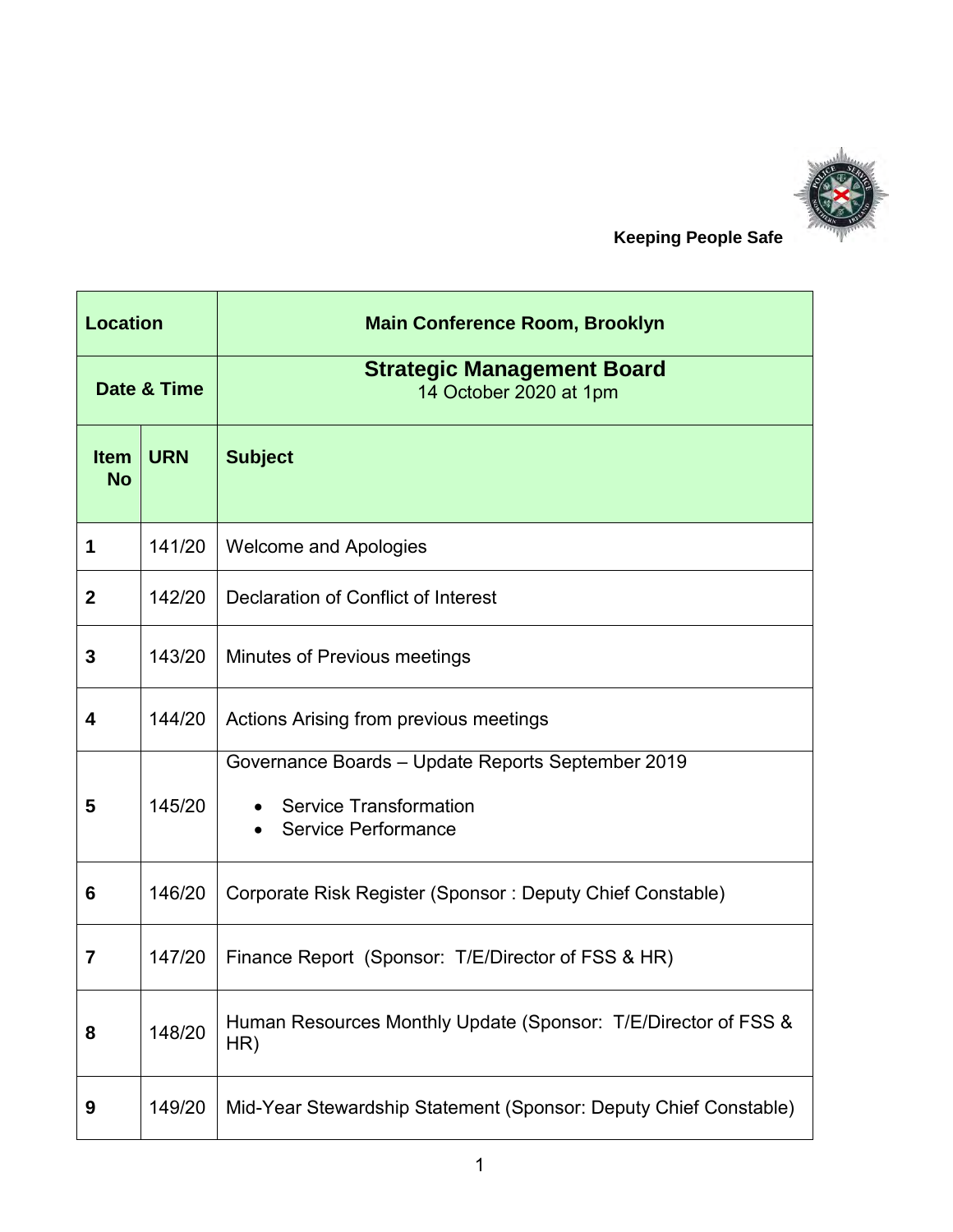

 **Keeping People Safe**

| <b>Location</b>          |            | <b>Main Conference Room, Brooklyn</b>                                                                     |
|--------------------------|------------|-----------------------------------------------------------------------------------------------------------|
| Date & Time              |            | <b>Strategic Management Board</b><br>14 October 2020 at 1pm                                               |
| <b>Item</b><br><b>No</b> | <b>URN</b> | <b>Subject</b>                                                                                            |
| 1                        | 141/20     | <b>Welcome and Apologies</b>                                                                              |
| $\mathbf{2}$             | 142/20     | Declaration of Conflict of Interest                                                                       |
| 3                        | 143/20     | Minutes of Previous meetings                                                                              |
| 4                        | 144/20     | Actions Arising from previous meetings                                                                    |
| 5                        | 145/20     | Governance Boards - Update Reports September 2019<br><b>Service Transformation</b><br>Service Performance |
| 6                        | 146/20     | Corporate Risk Register (Sponsor: Deputy Chief Constable)                                                 |
| 7                        | 147/20     | Finance Report (Sponsor: T/E/Director of FSS & HR)                                                        |
| 8                        | 148/20     | Human Resources Monthly Update (Sponsor: T/E/Director of FSS &<br>HR)                                     |
| 9                        | 149/20     | Mid-Year Stewardship Statement (Sponsor: Deputy Chief Constable)                                          |